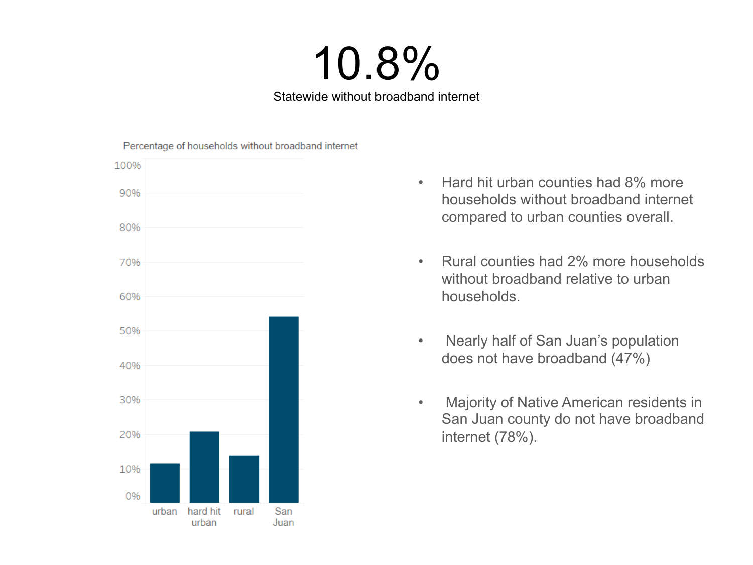## 10.8%

Statewide without broadband internet



- Hard hit urban counties had 8% more households without broadband internet compared to urban counties overall.
- Rural counties had 2% more households without broadband relative to urban households.
- Nearly half of San Juan's population does not have broadband (47%)
- Majority of Native American residents in San Juan county do not have broadband internet (78%).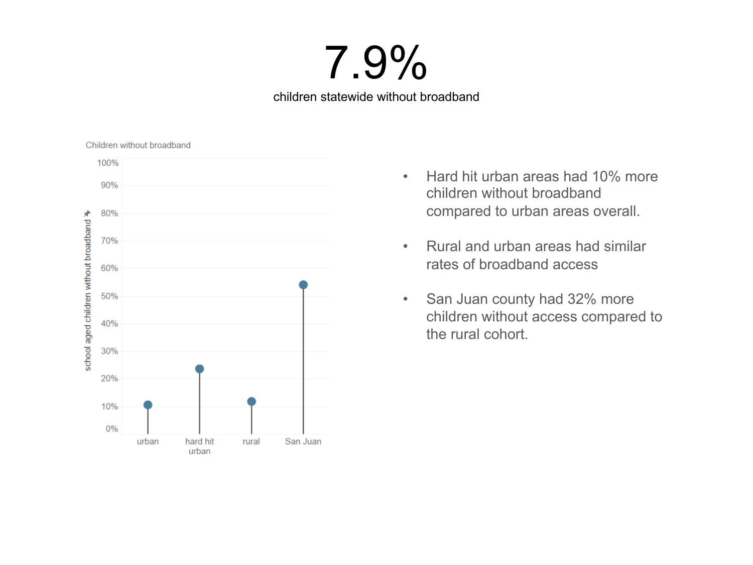## 7.9%

children statewide without broadband

Children without broadband



- Hard hit urban areas had 10% more children without broadband compared to urban areas overall.
- Rural and urban areas had similar rates of broadband access
- San Juan county had 32% more children without access compared to the rural cohort.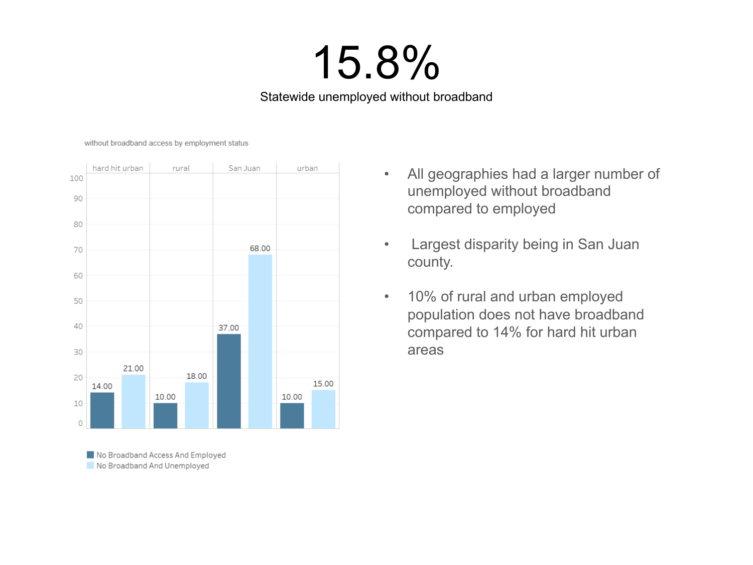# 15.8%

Statewide unemployed without broadband

without broadband access by employment status



No Broadband Access And Employed No Broadband And Unemployed

- All geographies had a larger number of unemployed without broadband compared to employed
- Largest disparity being in San Juan county.
- 10% of rural and urban employed population does not have broadband compared to 14% for hard hit urban areas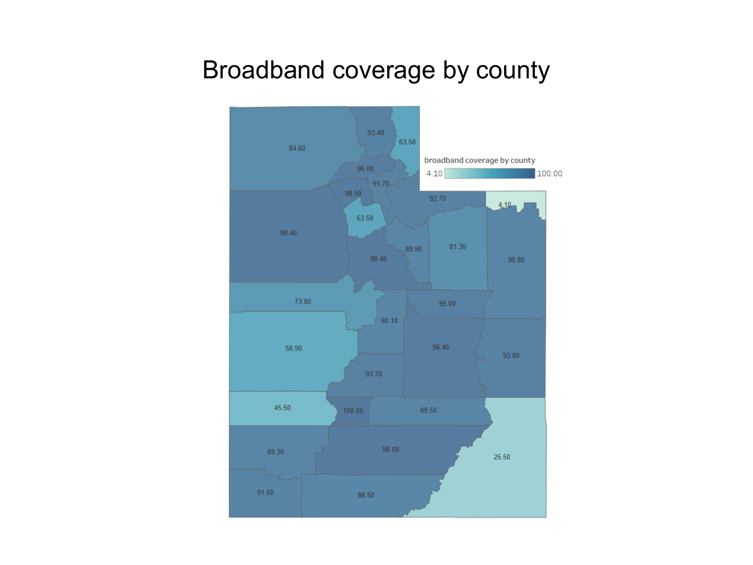#### Broadband coverage by county

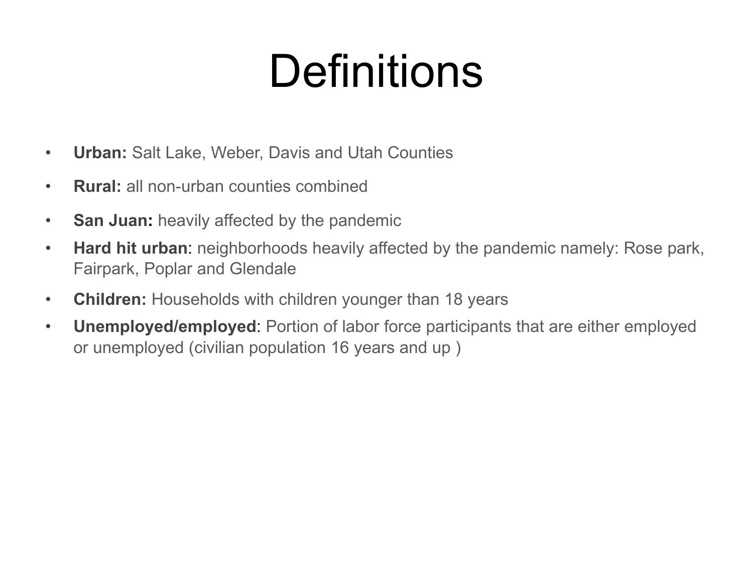# Definitions

- **Urban:** Salt Lake, Weber, Davis and Utah Counties
- **Rural:** all non-urban counties combined
- **San Juan:** heavily affected by the pandemic
- **Hard hit urban**: neighborhoods heavily affected by the pandemic namely: Rose park, Fairpark, Poplar and Glendale
- **Children:** Households with children younger than 18 years
- **Unemployed/employed**: Portion of labor force participants that are either employed or unemployed (civilian population 16 years and up )